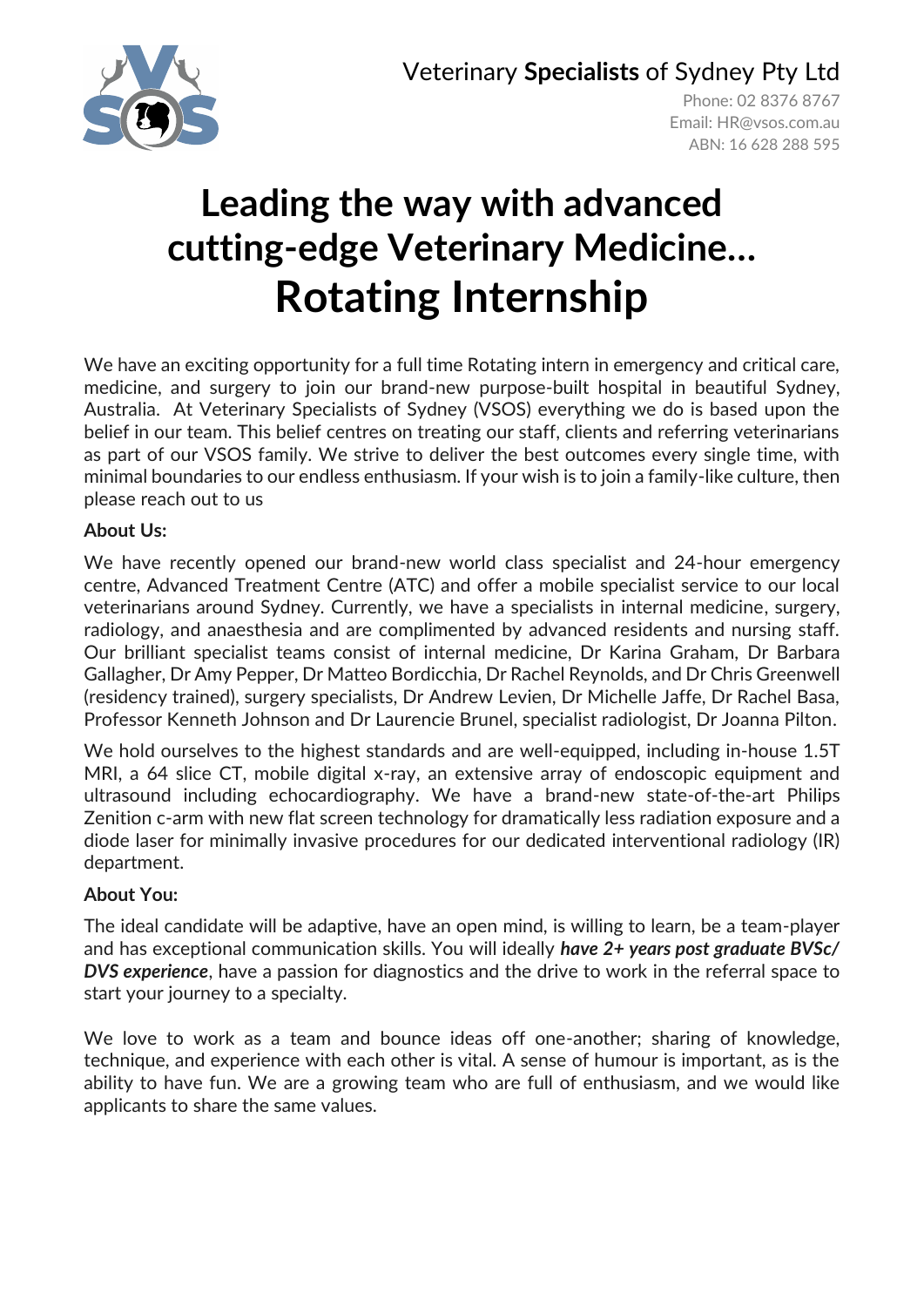Veterinary **Specialists** of Sydney Pty Ltd



Phone: 02 8376 8767 Email: [HR@vsos.com.au](mailto:HR@vsos.com.au) ABN: 16 628 288 595

# **Leading the way with advanced cutting-edge Veterinary Medicine… Rotating Internship**

We have an exciting opportunity for a full time Rotating intern in emergency and critical care, medicine, and surgery to join our brand-new purpose-built hospital in beautiful Sydney, Australia. At Veterinary Specialists of Sydney (VSOS) everything we do is based upon the belief in our team. This belief centres on treating our staff, clients and referring veterinarians as part of our VSOS family. We strive to deliver the best outcomes every single time, with minimal boundaries to our endless enthusiasm. If your wish is to join a family-like culture, then please reach out to us

# **About Us:**

We have recently opened our brand-new world class specialist and 24-hour emergency centre, Advanced Treatment Centre (ATC) and offer a mobile specialist service to our local veterinarians around Sydney. Currently, we have a specialists in internal medicine, surgery, radiology, and anaesthesia and are complimented by advanced residents and nursing staff. Our brilliant specialist teams consist of internal medicine, Dr Karina Graham, Dr Barbara Gallagher, Dr Amy Pepper, Dr Matteo Bordicchia, Dr Rachel Reynolds, and Dr Chris Greenwell (residency trained), surgery specialists, Dr Andrew Levien, Dr Michelle Jaffe, Dr Rachel Basa, Professor Kenneth Johnson and Dr Laurencie Brunel, specialist radiologist, Dr Joanna Pilton.

We hold ourselves to the highest standards and are well-equipped, including in-house 1.5T MRI, a 64 slice CT, mobile digital x-ray, an extensive array of endoscopic equipment and ultrasound including echocardiography. We have a brand-new state-of-the-art Philips Zenition c-arm with new flat screen technology for dramatically less radiation exposure and a diode laser for minimally invasive procedures for our dedicated interventional radiology (IR) department.

# **About You:**

The ideal candidate will be adaptive, have an open mind, is willing to learn, be a team-player and has exceptional communication skills. You will ideally *have 2+ years post graduate BVSc/ DVS experience*, have a passion for diagnostics and the drive to work in the referral space to start your journey to a specialty.

We love to work as a team and bounce ideas off one-another; sharing of knowledge, technique, and experience with each other is vital. A sense of humour is important, as is the ability to have fun. We are a growing team who are full of enthusiasm, and we would like applicants to share the same values.